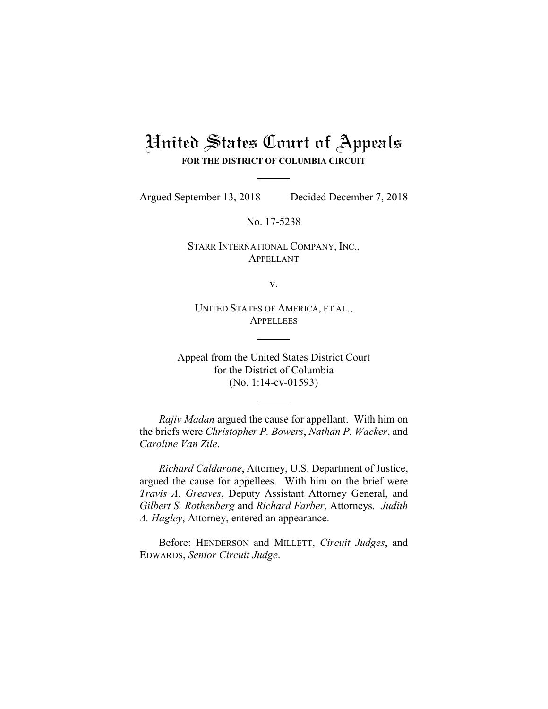# United States Court of Appeals **FOR THE DISTRICT OF COLUMBIA CIRCUIT**

Argued September 13, 2018 Decided December 7, 2018

No. 17-5238

STARR INTERNATIONAL COMPANY, INC., APPELLANT

v.

UNITED STATES OF AMERICA, ET AL., **APPELLEES** 

Appeal from the United States District Court for the District of Columbia (No. 1:14-cv-01593)

*Rajiv Madan* argued the cause for appellant. With him on the briefs were *Christopher P. Bowers*, *Nathan P. Wacker*, and *Caroline Van Zile*.

*Richard Caldarone*, Attorney, U.S. Department of Justice, argued the cause for appellees. With him on the brief were *Travis A. Greaves*, Deputy Assistant Attorney General, and *Gilbert S. Rothenberg* and *Richard Farber*, Attorneys. *Judith A. Hagley*, Attorney, entered an appearance.

Before: HENDERSON and MILLETT, *Circuit Judges*, and EDWARDS, *Senior Circuit Judge*.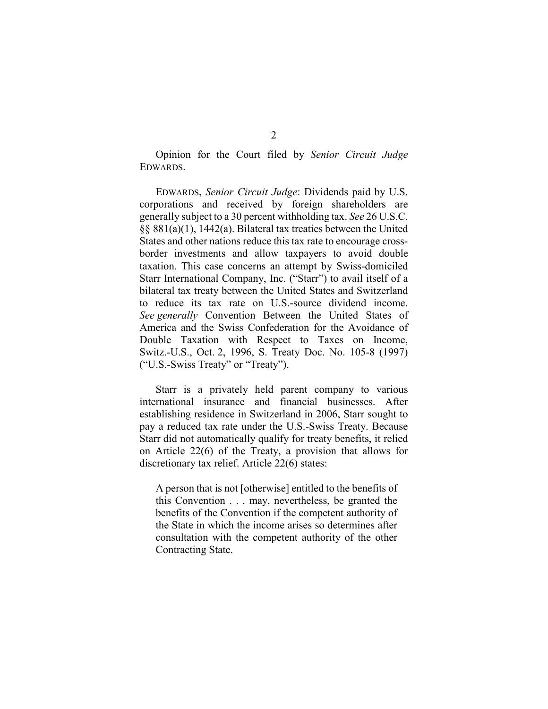Opinion for the Court filed by *Senior Circuit Judge* EDWARDS.

EDWARDS, *Senior Circuit Judge*: Dividends paid by U.S. corporations and received by foreign shareholders are generally subject to a 30 percent withholding tax. *See* 26 U.S.C. §§ 881(a)(1), 1442(a). Bilateral tax treaties between the United States and other nations reduce this tax rate to encourage crossborder investments and allow taxpayers to avoid double taxation. This case concerns an attempt by Swiss-domiciled Starr International Company, Inc. ("Starr") to avail itself of a bilateral tax treaty between the United States and Switzerland to reduce its tax rate on U.S.-source dividend income. *See generally* Convention Between the United States of America and the Swiss Confederation for the Avoidance of Double Taxation with Respect to Taxes on Income, Switz.-U.S., Oct. 2, 1996, S. Treaty Doc. No. 105-8 (1997) ("U.S.-Swiss Treaty" or "Treaty").

Starr is a privately held parent company to various international insurance and financial businesses. After establishing residence in Switzerland in 2006, Starr sought to pay a reduced tax rate under the U.S.-Swiss Treaty. Because Starr did not automatically qualify for treaty benefits, it relied on Article 22(6) of the Treaty, a provision that allows for discretionary tax relief. Article 22(6) states:

A person that is not [otherwise] entitled to the benefits of this Convention . . . may, nevertheless, be granted the benefits of the Convention if the competent authority of the State in which the income arises so determines after consultation with the competent authority of the other Contracting State.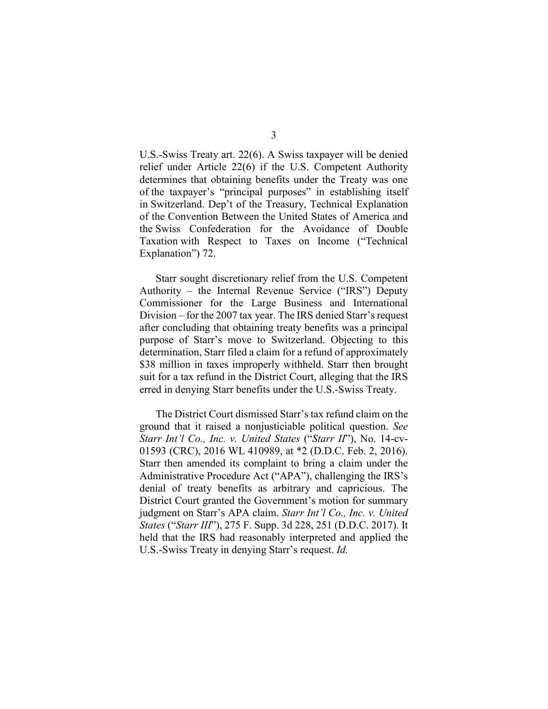U.S.-Swiss Treaty art. 22(6). A Swiss taxpayer will be denied relief under Article 22(6) if the U.S. Competent Authority determines that obtaining benefits under the Treaty was one of the taxpayer's "principal purposes" in establishing itself in Switzerland. Dep't of the Treasury, Technical Explanation of the Convention Between the United States of America and the Swiss Confederation for the Avoidance of Double Taxation with Respect to Taxes on Income ("Technical Explanation") 72.

Starr sought discretionary relief from the U.S. Competent Authority – the Internal Revenue Service ("IRS") Deputy Commissioner for the Large Business and International Division – for the 2007 tax year. The IRS denied Starr's request after concluding that obtaining treaty benefits was a principal purpose of Starr's move to Switzerland. Objecting to this determination, Starr filed a claim for a refund of approximately \$38 million in taxes improperly withheld. Starr then brought suit for a tax refund in the District Court, alleging that the IRS erred in denying Starr benefits under the U.S.-Swiss Treaty.

The District Court dismissed Starr's tax refund claim on the ground that it raised a nonjusticiable political question. *See Starr Int'l Co., Inc. v. United States* ("*Starr II*"), No. 14-cv-01593 (CRC), 2016 WL 410989, at \*2 (D.D.C. Feb. 2, 2016). Starr then amended its complaint to bring a claim under the Administrative Procedure Act ("APA"), challenging the IRS's denial of treaty benefits as arbitrary and capricious. The District Court granted the Government's motion for summary judgment on Starr's APA claim. *Starr Int'l Co., Inc. v. United States* ("*Starr III*"), 275 F. Supp. 3d 228, 251 (D.D.C. 2017). It held that the IRS had reasonably interpreted and applied the U.S.-Swiss Treaty in denying Starr's request. *Id.*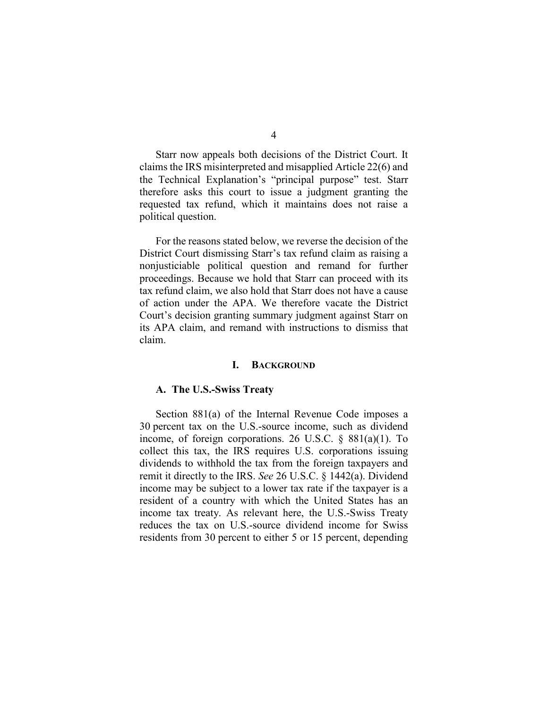Starr now appeals both decisions of the District Court. It claims the IRS misinterpreted and misapplied Article 22(6) and the Technical Explanation's "principal purpose" test. Starr therefore asks this court to issue a judgment granting the requested tax refund, which it maintains does not raise a political question.

For the reasons stated below, we reverse the decision of the District Court dismissing Starr's tax refund claim as raising a nonjusticiable political question and remand for further proceedings. Because we hold that Starr can proceed with its tax refund claim, we also hold that Starr does not have a cause of action under the APA. We therefore vacate the District Court's decision granting summary judgment against Starr on its APA claim, and remand with instructions to dismiss that claim.

#### **I. BACKGROUND**

#### **A. The U.S.-Swiss Treaty**

Section 881(a) of the Internal Revenue Code imposes a 30 percent tax on the U.S.-source income, such as dividend income, of foreign corporations. 26 U.S.C. § 881(a)(1). To collect this tax, the IRS requires U.S. corporations issuing dividends to withhold the tax from the foreign taxpayers and remit it directly to the IRS. *See* 26 U.S.C. § 1442(a). Dividend income may be subject to a lower tax rate if the taxpayer is a resident of a country with which the United States has an income tax treaty. As relevant here, the U.S.-Swiss Treaty reduces the tax on U.S.-source dividend income for Swiss residents from 30 percent to either 5 or 15 percent, depending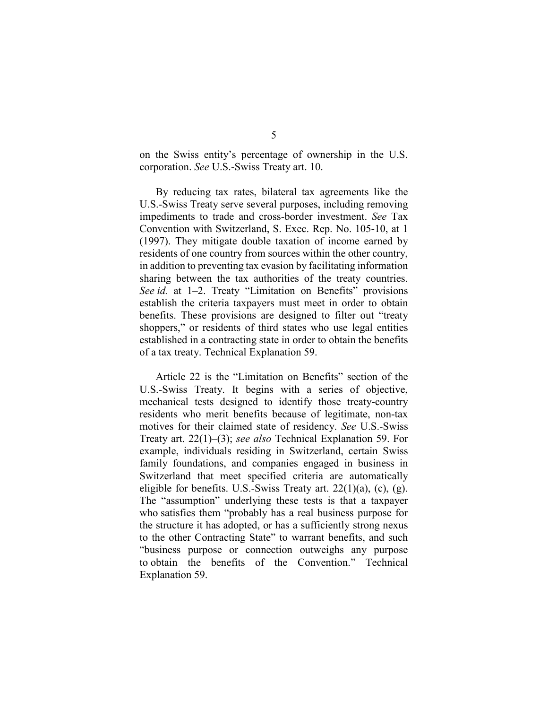on the Swiss entity's percentage of ownership in the U.S. corporation. *See* U.S.-Swiss Treaty art. 10.

By reducing tax rates, bilateral tax agreements like the U.S.-Swiss Treaty serve several purposes, including removing impediments to trade and cross-border investment. *See* Tax Convention with Switzerland, S. Exec. Rep. No. 105-10, at 1 (1997). They mitigate double taxation of income earned by residents of one country from sources within the other country, in addition to preventing tax evasion by facilitating information sharing between the tax authorities of the treaty countries. *See id.* at 1–2. Treaty "Limitation on Benefits" provisions establish the criteria taxpayers must meet in order to obtain benefits. These provisions are designed to filter out "treaty shoppers," or residents of third states who use legal entities established in a contracting state in order to obtain the benefits of a tax treaty. Technical Explanation 59.

Article 22 is the "Limitation on Benefits" section of the U.S.-Swiss Treaty. It begins with a series of objective, mechanical tests designed to identify those treaty-country residents who merit benefits because of legitimate, non-tax motives for their claimed state of residency. *See* U.S.-Swiss Treaty art. 22(1)–(3); *see also* Technical Explanation 59. For example, individuals residing in Switzerland, certain Swiss family foundations, and companies engaged in business in Switzerland that meet specified criteria are automatically eligible for benefits. U.S.-Swiss Treaty art.  $22(1)(a)$ , (c), (g). The "assumption" underlying these tests is that a taxpayer who satisfies them "probably has a real business purpose for the structure it has adopted, or has a sufficiently strong nexus to the other Contracting State" to warrant benefits, and such "business purpose or connection outweighs any purpose to obtain the benefits of the Convention." Technical Explanation 59.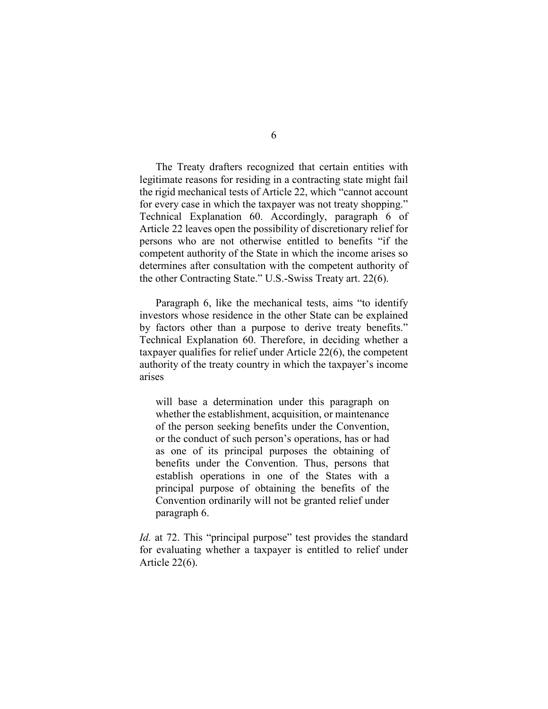The Treaty drafters recognized that certain entities with legitimate reasons for residing in a contracting state might fail the rigid mechanical tests of Article 22, which "cannot account for every case in which the taxpayer was not treaty shopping." Technical Explanation 60. Accordingly, paragraph 6 of Article 22 leaves open the possibility of discretionary relief for persons who are not otherwise entitled to benefits "if the competent authority of the State in which the income arises so determines after consultation with the competent authority of the other Contracting State." U.S.-Swiss Treaty art. 22(6).

Paragraph 6, like the mechanical tests, aims "to identify investors whose residence in the other State can be explained by factors other than a purpose to derive treaty benefits." Technical Explanation 60. Therefore, in deciding whether a taxpayer qualifies for relief under Article 22(6), the competent authority of the treaty country in which the taxpayer's income arises

will base a determination under this paragraph on whether the establishment, acquisition, or maintenance of the person seeking benefits under the Convention, or the conduct of such person's operations, has or had as one of its principal purposes the obtaining of benefits under the Convention. Thus, persons that establish operations in one of the States with a principal purpose of obtaining the benefits of the Convention ordinarily will not be granted relief under paragraph 6.

*Id.* at 72. This "principal purpose" test provides the standard for evaluating whether a taxpayer is entitled to relief under Article 22(6).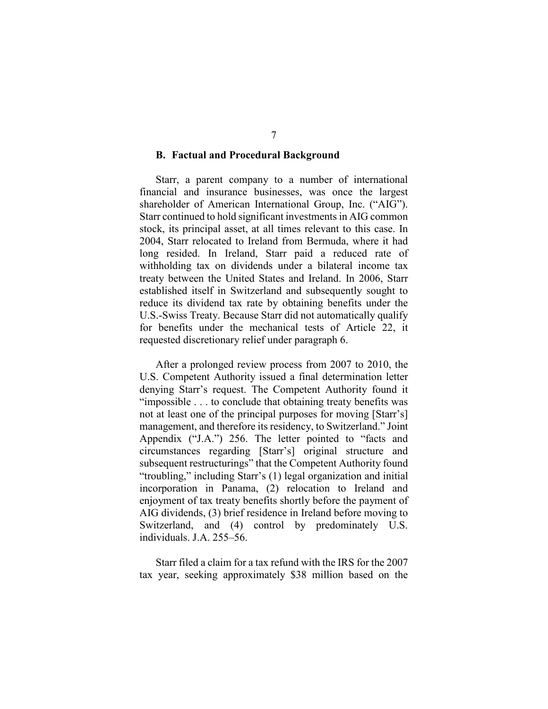## **B. Factual and Procedural Background**

Starr, a parent company to a number of international financial and insurance businesses, was once the largest shareholder of American International Group, Inc. ("AIG"). Starr continued to hold significant investments in AIG common stock, its principal asset, at all times relevant to this case. In 2004, Starr relocated to Ireland from Bermuda, where it had long resided. In Ireland, Starr paid a reduced rate of withholding tax on dividends under a bilateral income tax treaty between the United States and Ireland. In 2006, Starr established itself in Switzerland and subsequently sought to reduce its dividend tax rate by obtaining benefits under the U.S.-Swiss Treaty. Because Starr did not automatically qualify for benefits under the mechanical tests of Article 22, it requested discretionary relief under paragraph 6.

After a prolonged review process from 2007 to 2010, the U.S. Competent Authority issued a final determination letter denying Starr's request. The Competent Authority found it "impossible . . . to conclude that obtaining treaty benefits was not at least one of the principal purposes for moving [Starr's] management, and therefore its residency, to Switzerland." Joint Appendix ("J.A.") 256. The letter pointed to "facts and circumstances regarding [Starr's] original structure and subsequent restructurings" that the Competent Authority found "troubling," including Starr's (1) legal organization and initial incorporation in Panama, (2) relocation to Ireland and enjoyment of tax treaty benefits shortly before the payment of AIG dividends, (3) brief residence in Ireland before moving to Switzerland, and (4) control by predominately U.S. individuals. J.A. 255–56.

Starr filed a claim for a tax refund with the IRS for the 2007 tax year, seeking approximately \$38 million based on the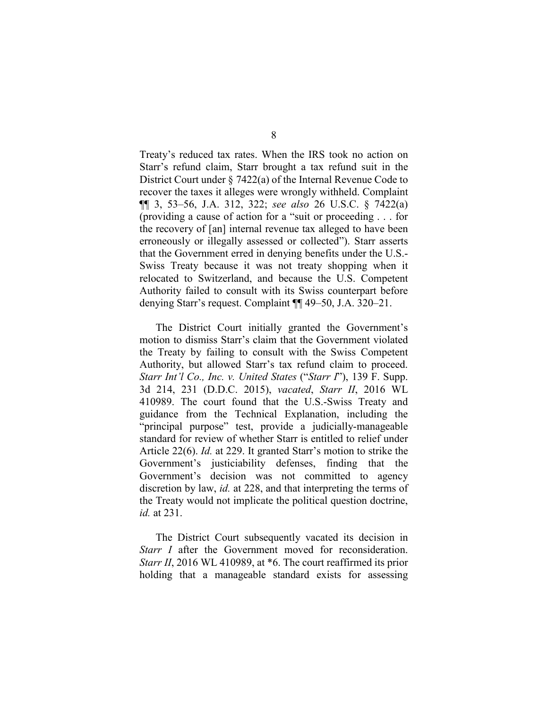Treaty's reduced tax rates. When the IRS took no action on Starr's refund claim, Starr brought a tax refund suit in the District Court under § 7422(a) of the Internal Revenue Code to recover the taxes it alleges were wrongly withheld. Complaint ¶¶ 3, 53–56, J.A. 312, 322; *see also* 26 U.S.C. § 7422(a) (providing a cause of action for a "suit or proceeding . . . for the recovery of [an] internal revenue tax alleged to have been erroneously or illegally assessed or collected"). Starr asserts that the Government erred in denying benefits under the U.S.- Swiss Treaty because it was not treaty shopping when it relocated to Switzerland, and because the U.S. Competent Authority failed to consult with its Swiss counterpart before denying Starr's request. Complaint ¶¶ 49–50, J.A. 320–21.

The District Court initially granted the Government's motion to dismiss Starr's claim that the Government violated the Treaty by failing to consult with the Swiss Competent Authority, but allowed Starr's tax refund claim to proceed. *Starr Int'l Co., Inc. v. United States* ("*Starr I*"), 139 F. Supp. 3d 214, 231 (D.D.C. 2015), *vacated*, *Starr II*, 2016 WL 410989. The court found that the U.S.-Swiss Treaty and guidance from the Technical Explanation, including the "principal purpose" test, provide a judicially-manageable standard for review of whether Starr is entitled to relief under Article 22(6). *Id.* at 229. It granted Starr's motion to strike the Government's justiciability defenses, finding that the Government's decision was not committed to agency discretion by law, *id.* at 228, and that interpreting the terms of the Treaty would not implicate the political question doctrine, *id.* at 231.

The District Court subsequently vacated its decision in *Starr I* after the Government moved for reconsideration. *Starr II*, 2016 WL 410989, at \*6. The court reaffirmed its prior holding that a manageable standard exists for assessing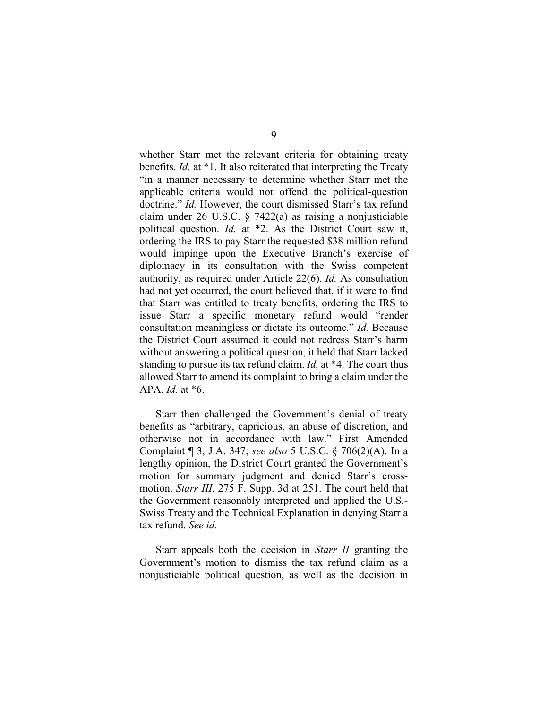whether Starr met the relevant criteria for obtaining treaty benefits. *Id.* at \*1. It also reiterated that interpreting the Treaty "in a manner necessary to determine whether Starr met the applicable criteria would not offend the political-question doctrine." *Id.* However, the court dismissed Starr's tax refund claim under 26 U.S.C. § 7422(a) as raising a nonjusticiable political question. *Id.* at \*2. As the District Court saw it, ordering the IRS to pay Starr the requested \$38 million refund would impinge upon the Executive Branch's exercise of diplomacy in its consultation with the Swiss competent authority, as required under Article 22(6). *Id.* As consultation had not yet occurred, the court believed that, if it were to find that Starr was entitled to treaty benefits, ordering the IRS to issue Starr a specific monetary refund would "render consultation meaningless or dictate its outcome." *Id.* Because the District Court assumed it could not redress Starr's harm without answering a political question, it held that Starr lacked standing to pursue its tax refund claim. *Id.* at \*4. The court thus allowed Starr to amend its complaint to bring a claim under the APA. *Id.* at \*6.

Starr then challenged the Government's denial of treaty benefits as "arbitrary, capricious, an abuse of discretion, and otherwise not in accordance with law." First Amended Complaint ¶ 3, J.A. 347; *see also* 5 U.S.C. § 706(2)(A). In a lengthy opinion, the District Court granted the Government's motion for summary judgment and denied Starr's crossmotion. *Starr III*, 275 F. Supp. 3d at 251. The court held that the Government reasonably interpreted and applied the U.S.- Swiss Treaty and the Technical Explanation in denying Starr a tax refund. *See id.*

Starr appeals both the decision in *Starr II* granting the Government's motion to dismiss the tax refund claim as a nonjusticiable political question, as well as the decision in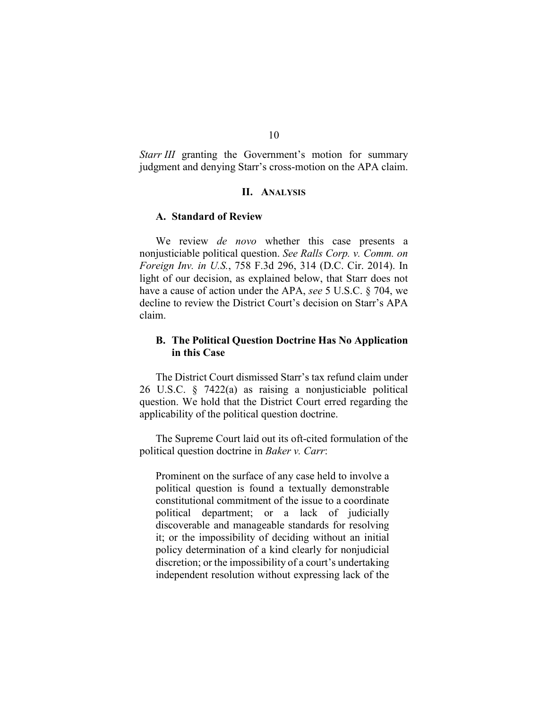*Starr III* granting the Government's motion for summary judgment and denying Starr's cross-motion on the APA claim.

## **II. ANALYSIS**

#### **A. Standard of Review**

We review *de novo* whether this case presents a nonjusticiable political question. *See Ralls Corp. v. Comm. on Foreign Inv. in U.S.*, 758 F.3d 296, 314 (D.C. Cir. 2014). In light of our decision, as explained below, that Starr does not have a cause of action under the APA, *see* 5 U.S.C. § 704, we decline to review the District Court's decision on Starr's APA claim.

# **B. The Political Question Doctrine Has No Application in this Case**

The District Court dismissed Starr's tax refund claim under 26 U.S.C. § 7422(a) as raising a nonjusticiable political question. We hold that the District Court erred regarding the applicability of the political question doctrine.

The Supreme Court laid out its oft-cited formulation of the political question doctrine in *Baker v. Carr*:

Prominent on the surface of any case held to involve a political question is found a textually demonstrable constitutional commitment of the issue to a coordinate political department; or a lack of judicially discoverable and manageable standards for resolving it; or the impossibility of deciding without an initial policy determination of a kind clearly for nonjudicial discretion; or the impossibility of a court's undertaking independent resolution without expressing lack of the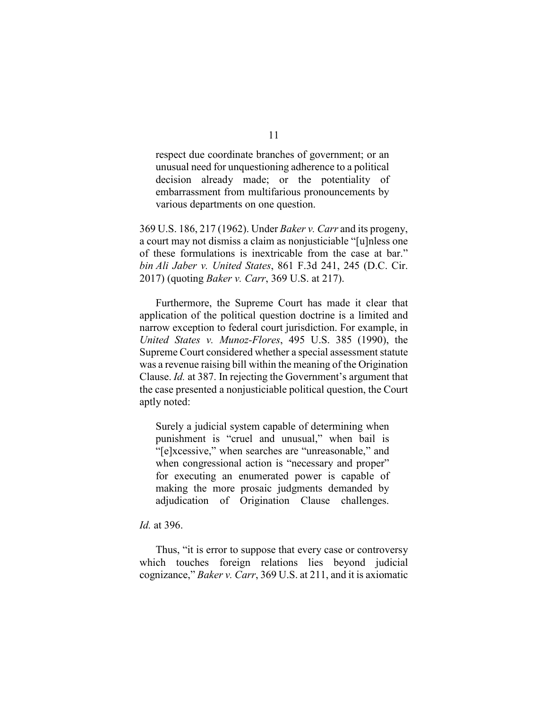respect due coordinate branches of government; or an unusual need for unquestioning adherence to a political decision already made; or the potentiality of embarrassment from multifarious pronouncements by various departments on one question.

369 U.S. 186, 217 (1962). Under *Baker v. Carr* and its progeny, a court may not dismiss a claim as nonjusticiable "[u]nless one of these formulations is inextricable from the case at bar." *bin Ali Jaber v. United States*, 861 F.3d 241, 245 (D.C. Cir. 2017) (quoting *Baker v. Carr*, 369 U.S. at 217).

Furthermore, the Supreme Court has made it clear that application of the political question doctrine is a limited and narrow exception to federal court jurisdiction. For example, in *United States v. Munoz-Flores*, 495 U.S. 385 (1990), the Supreme Court considered whether a special assessment statute was a revenue raising bill within the meaning of the Origination Clause. *Id.* at 387. In rejecting the Government's argument that the case presented a nonjusticiable political question, the Court aptly noted:

Surely a judicial system capable of determining when punishment is "cruel and unusual," when bail is "[e]xcessive," when searches are "unreasonable," and when congressional action is "necessary and proper" for executing an enumerated power is capable of making the more prosaic judgments demanded by adjudication of Origination Clause challenges.

#### *Id.* at 396.

Thus, "it is error to suppose that every case or controversy which touches foreign relations lies beyond judicial cognizance," *Baker v. Carr*, 369 U.S. at 211, and it is axiomatic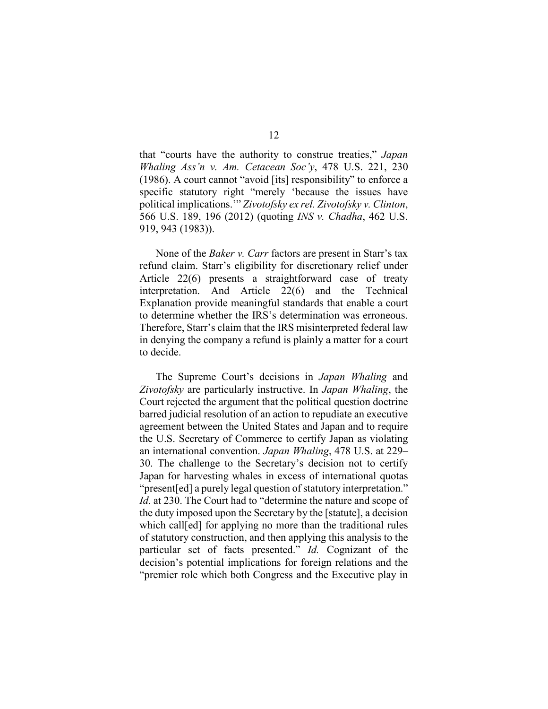that "courts have the authority to construe treaties," *Japan Whaling Ass'n v. Am. Cetacean Soc'y*, 478 U.S. 221, 230 (1986). A court cannot "avoid [its] responsibility" to enforce a specific statutory right "merely 'because the issues have political implications.'" *Zivotofsky ex rel. Zivotofsky v. Clinton*, 566 U.S. 189, 196 (2012) (quoting *INS v. Chadha*, 462 U.S. 919, 943 (1983)).

None of the *Baker v. Carr* factors are present in Starr's tax refund claim. Starr's eligibility for discretionary relief under Article 22(6) presents a straightforward case of treaty interpretation. And Article 22(6) and the Technical Explanation provide meaningful standards that enable a court to determine whether the IRS's determination was erroneous. Therefore, Starr's claim that the IRS misinterpreted federal law in denying the company a refund is plainly a matter for a court to decide.

The Supreme Court's decisions in *Japan Whaling* and *Zivotofsky* are particularly instructive. In *Japan Whaling*, the Court rejected the argument that the political question doctrine barred judicial resolution of an action to repudiate an executive agreement between the United States and Japan and to require the U.S. Secretary of Commerce to certify Japan as violating an international convention. *Japan Whaling*, 478 U.S. at 229– 30. The challenge to the Secretary's decision not to certify Japan for harvesting whales in excess of international quotas "present[ed] a purely legal question of statutory interpretation." *Id.* at 230. The Court had to "determine the nature and scope of the duty imposed upon the Secretary by the [statute], a decision which call[ed] for applying no more than the traditional rules of statutory construction, and then applying this analysis to the particular set of facts presented." *Id.* Cognizant of the decision's potential implications for foreign relations and the "premier role which both Congress and the Executive play in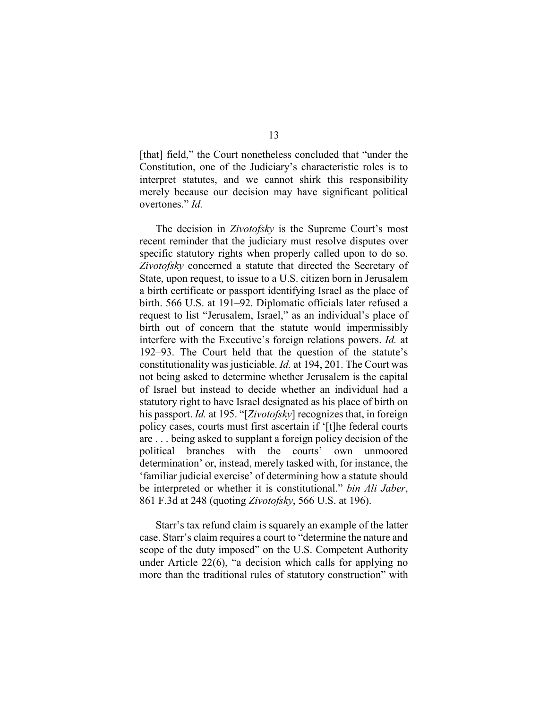[that] field," the Court nonetheless concluded that "under the Constitution, one of the Judiciary's characteristic roles is to interpret statutes, and we cannot shirk this responsibility merely because our decision may have significant political overtones." *Id.*

The decision in *Zivotofsky* is the Supreme Court's most recent reminder that the judiciary must resolve disputes over specific statutory rights when properly called upon to do so. *Zivotofsky* concerned a statute that directed the Secretary of State, upon request, to issue to a U.S. citizen born in Jerusalem a birth certificate or passport identifying Israel as the place of birth. 566 U.S. at 191–92. Diplomatic officials later refused a request to list "Jerusalem, Israel," as an individual's place of birth out of concern that the statute would impermissibly interfere with the Executive's foreign relations powers. *Id.* at 192–93. The Court held that the question of the statute's constitutionality was justiciable. *Id.* at 194, 201. The Court was not being asked to determine whether Jerusalem is the capital of Israel but instead to decide whether an individual had a statutory right to have Israel designated as his place of birth on his passport. *Id.* at 195. "[*Zivotofsky*] recognizes that, in foreign policy cases, courts must first ascertain if '[t]he federal courts are . . . being asked to supplant a foreign policy decision of the political branches with the courts' own unmoored determination' or, instead, merely tasked with, for instance, the 'familiar judicial exercise' of determining how a statute should be interpreted or whether it is constitutional." *bin Ali Jaber*, 861 F.3d at 248 (quoting *Zivotofsky*, 566 U.S. at 196).

Starr's tax refund claim is squarely an example of the latter case. Starr's claim requires a court to "determine the nature and scope of the duty imposed" on the U.S. Competent Authority under Article 22(6), "a decision which calls for applying no more than the traditional rules of statutory construction" with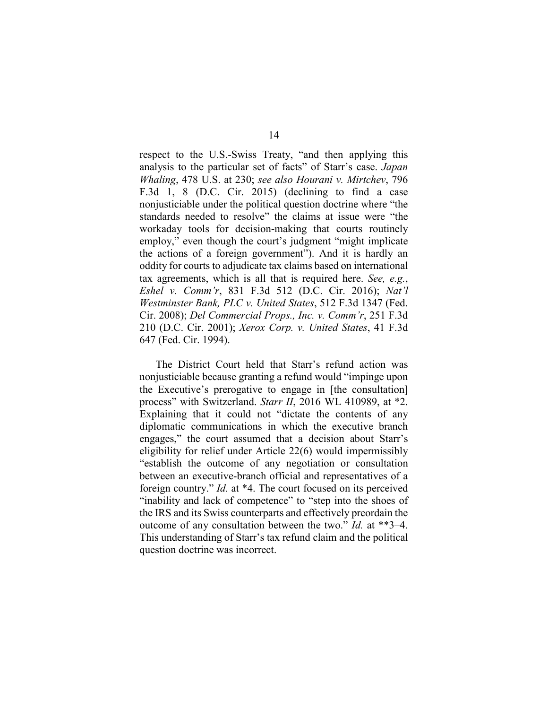respect to the U.S.-Swiss Treaty, "and then applying this analysis to the particular set of facts" of Starr's case. *Japan Whaling*, 478 U.S. at 230; *see also Hourani v. Mirtchev*, 796 F.3d 1, 8 (D.C. Cir. 2015) (declining to find a case nonjusticiable under the political question doctrine where "the standards needed to resolve" the claims at issue were "the workaday tools for decision-making that courts routinely employ," even though the court's judgment "might implicate the actions of a foreign government"). And it is hardly an oddity for courts to adjudicate tax claims based on international tax agreements, which is all that is required here. *See, e.g.*, *Eshel v. Comm'r*, 831 F.3d 512 (D.C. Cir. 2016); *Nat'l Westminster Bank, PLC v. United States*, 512 F.3d 1347 (Fed. Cir. 2008); *Del Commercial Props., Inc. v. Comm'r*, 251 F.3d 210 (D.C. Cir. 2001); *Xerox Corp. v. United States*, 41 F.3d 647 (Fed. Cir. 1994).

The District Court held that Starr's refund action was nonjusticiable because granting a refund would "impinge upon the Executive's prerogative to engage in [the consultation] process" with Switzerland. *Starr II*, 2016 WL 410989, at \*2. Explaining that it could not "dictate the contents of any diplomatic communications in which the executive branch engages," the court assumed that a decision about Starr's eligibility for relief under Article 22(6) would impermissibly "establish the outcome of any negotiation or consultation between an executive-branch official and representatives of a foreign country." *Id.* at \*4. The court focused on its perceived "inability and lack of competence" to "step into the shoes of the IRS and its Swiss counterparts and effectively preordain the outcome of any consultation between the two." *Id.* at \*\*3–4. This understanding of Starr's tax refund claim and the political question doctrine was incorrect.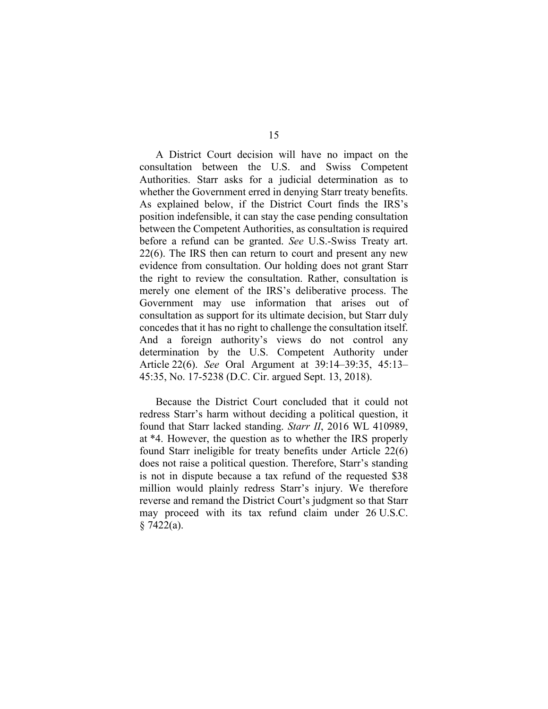A District Court decision will have no impact on the consultation between the U.S. and Swiss Competent Authorities. Starr asks for a judicial determination as to whether the Government erred in denying Starr treaty benefits. As explained below, if the District Court finds the IRS's position indefensible, it can stay the case pending consultation between the Competent Authorities, as consultation is required before a refund can be granted. *See* U.S.-Swiss Treaty art. 22(6). The IRS then can return to court and present any new evidence from consultation. Our holding does not grant Starr the right to review the consultation. Rather, consultation is merely one element of the IRS's deliberative process. The Government may use information that arises out of consultation as support for its ultimate decision, but Starr duly concedes that it has no right to challenge the consultation itself. And a foreign authority's views do not control any determination by the U.S. Competent Authority under Article 22(6). *See* Oral Argument at 39:14–39:35, 45:13– 45:35, No. 17-5238 (D.C. Cir. argued Sept. 13, 2018).

Because the District Court concluded that it could not redress Starr's harm without deciding a political question, it found that Starr lacked standing. *Starr II*, 2016 WL 410989, at \*4. However, the question as to whether the IRS properly found Starr ineligible for treaty benefits under Article 22(6) does not raise a political question. Therefore, Starr's standing is not in dispute because a tax refund of the requested \$38 million would plainly redress Starr's injury. We therefore reverse and remand the District Court's judgment so that Starr may proceed with its tax refund claim under 26 U.S.C.  $§ 7422(a).$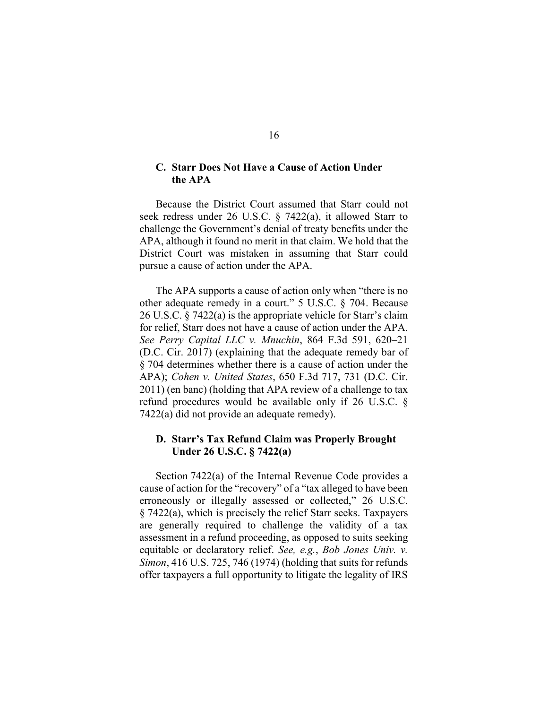# **C. Starr Does Not Have a Cause of Action Under the APA**

Because the District Court assumed that Starr could not seek redress under 26 U.S.C. § 7422(a), it allowed Starr to challenge the Government's denial of treaty benefits under the APA, although it found no merit in that claim. We hold that the District Court was mistaken in assuming that Starr could pursue a cause of action under the APA.

The APA supports a cause of action only when "there is no other adequate remedy in a court." 5 U.S.C. § 704. Because 26 U.S.C. § 7422(a) is the appropriate vehicle for Starr's claim for relief, Starr does not have a cause of action under the APA. *See Perry Capital LLC v. Mnuchin*, 864 F.3d 591, 620–21 (D.C. Cir. 2017) (explaining that the adequate remedy bar of § 704 determines whether there is a cause of action under the APA); *Cohen v. United States*, 650 F.3d 717, 731 (D.C. Cir. 2011) (en banc) (holding that APA review of a challenge to tax refund procedures would be available only if 26 U.S.C. § 7422(a) did not provide an adequate remedy).

# **D. Starr's Tax Refund Claim was Properly Brought Under 26 U.S.C. § 7422(a)**

Section 7422(a) of the Internal Revenue Code provides a cause of action for the "recovery" of a "tax alleged to have been erroneously or illegally assessed or collected," 26 U.S.C. § 7422(a), which is precisely the relief Starr seeks. Taxpayers are generally required to challenge the validity of a tax assessment in a refund proceeding, as opposed to suits seeking equitable or declaratory relief. *See, e.g.*, *Bob Jones Univ. v. Simon*, 416 U.S. 725, 746 (1974) (holding that suits for refunds offer taxpayers a full opportunity to litigate the legality of IRS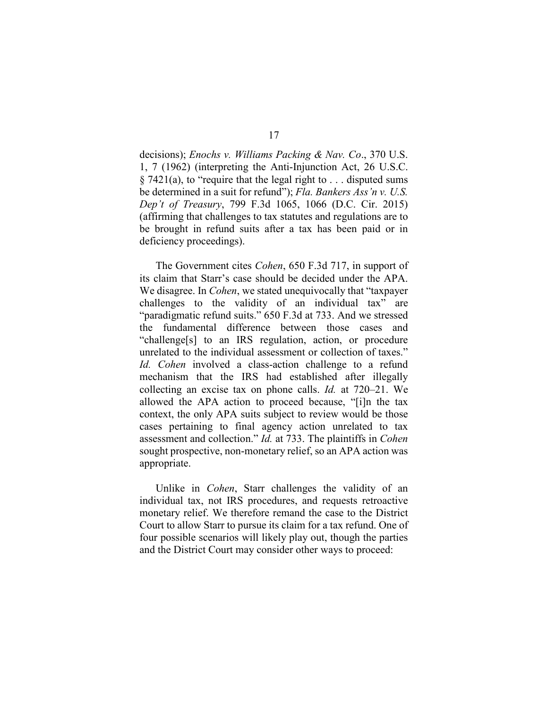decisions); *Enochs v. Williams Packing & Nav. Co*., 370 U.S. 1, 7 (1962) (interpreting the Anti-Injunction Act, 26 U.S.C.  $\S$  7421(a), to "require that the legal right to ... disputed sums be determined in a suit for refund"); *Fla. Bankers Ass'n v. U.S. Dep't of Treasury*, 799 F.3d 1065, 1066 (D.C. Cir. 2015) (affirming that challenges to tax statutes and regulations are to be brought in refund suits after a tax has been paid or in deficiency proceedings).

The Government cites *Cohen*, 650 F.3d 717, in support of its claim that Starr's case should be decided under the APA. We disagree. In *Cohen*, we stated unequivocally that "taxpayer challenges to the validity of an individual tax" are "paradigmatic refund suits." 650 F.3d at 733. And we stressed the fundamental difference between those cases and "challenge[s] to an IRS regulation, action, or procedure unrelated to the individual assessment or collection of taxes." *Id. Cohen* involved a class-action challenge to a refund mechanism that the IRS had established after illegally collecting an excise tax on phone calls. *Id.* at 720–21. We allowed the APA action to proceed because, "[i]n the tax context, the only APA suits subject to review would be those cases pertaining to final agency action unrelated to tax assessment and collection." *Id.* at 733. The plaintiffs in *Cohen* sought prospective, non-monetary relief, so an APA action was appropriate.

Unlike in *Cohen*, Starr challenges the validity of an individual tax, not IRS procedures, and requests retroactive monetary relief. We therefore remand the case to the District Court to allow Starr to pursue its claim for a tax refund. One of four possible scenarios will likely play out, though the parties and the District Court may consider other ways to proceed: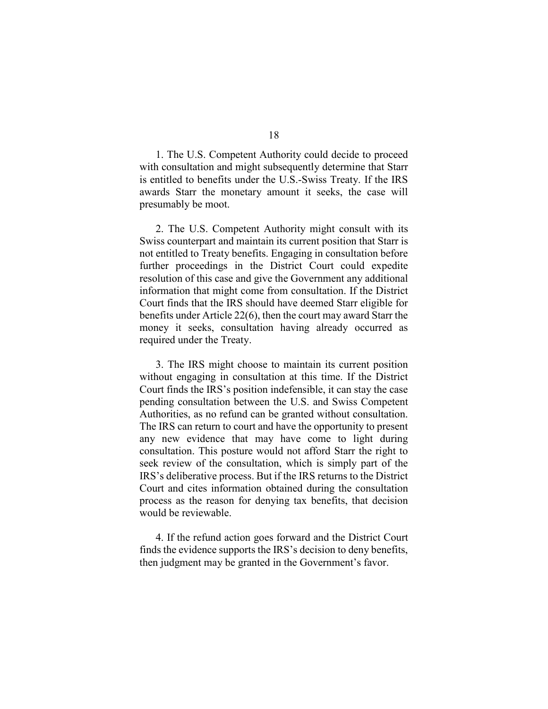1. The U.S. Competent Authority could decide to proceed with consultation and might subsequently determine that Starr is entitled to benefits under the U.S.-Swiss Treaty. If the IRS awards Starr the monetary amount it seeks, the case will presumably be moot.

2. The U.S. Competent Authority might consult with its Swiss counterpart and maintain its current position that Starr is not entitled to Treaty benefits. Engaging in consultation before further proceedings in the District Court could expedite resolution of this case and give the Government any additional information that might come from consultation. If the District Court finds that the IRS should have deemed Starr eligible for benefits under Article 22(6), then the court may award Starr the money it seeks, consultation having already occurred as required under the Treaty.

3. The IRS might choose to maintain its current position without engaging in consultation at this time. If the District Court finds the IRS's position indefensible, it can stay the case pending consultation between the U.S. and Swiss Competent Authorities, as no refund can be granted without consultation. The IRS can return to court and have the opportunity to present any new evidence that may have come to light during consultation. This posture would not afford Starr the right to seek review of the consultation, which is simply part of the IRS's deliberative process. But if the IRS returns to the District Court and cites information obtained during the consultation process as the reason for denying tax benefits, that decision would be reviewable.

4. If the refund action goes forward and the District Court finds the evidence supports the IRS's decision to deny benefits, then judgment may be granted in the Government's favor.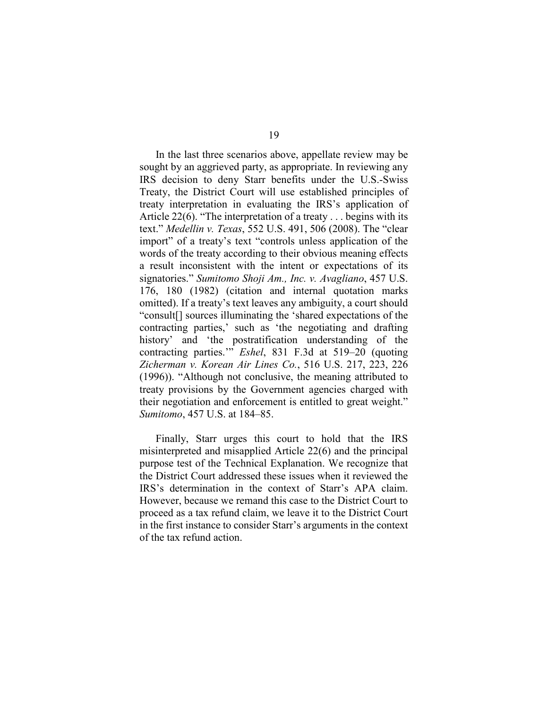In the last three scenarios above, appellate review may be sought by an aggrieved party, as appropriate. In reviewing any IRS decision to deny Starr benefits under the U.S.-Swiss Treaty, the District Court will use established principles of treaty interpretation in evaluating the IRS's application of Article 22(6). "The interpretation of a treaty . . . begins with its text." *Medellin v. Texas*, 552 U.S. 491, 506 (2008). The "clear import" of a treaty's text "controls unless application of the words of the treaty according to their obvious meaning effects a result inconsistent with the intent or expectations of its signatories." *Sumitomo Shoji Am., Inc. v. Avagliano*, 457 U.S. 176, 180 (1982) (citation and internal quotation marks omitted). If a treaty's text leaves any ambiguity, a court should "consult[] sources illuminating the 'shared expectations of the contracting parties,' such as 'the negotiating and drafting history' and 'the postratification understanding of the contracting parties.'" *Eshel*, 831 F.3d at 519–20 (quoting *Zicherman v. Korean Air Lines Co.*, 516 U.S. 217, 223, 226 (1996)). "Although not conclusive, the meaning attributed to treaty provisions by the Government agencies charged with their negotiation and enforcement is entitled to great weight." *Sumitomo*, 457 U.S. at 184–85.

Finally, Starr urges this court to hold that the IRS misinterpreted and misapplied Article 22(6) and the principal purpose test of the Technical Explanation. We recognize that the District Court addressed these issues when it reviewed the IRS's determination in the context of Starr's APA claim. However, because we remand this case to the District Court to proceed as a tax refund claim, we leave it to the District Court in the first instance to consider Starr's arguments in the context of the tax refund action.